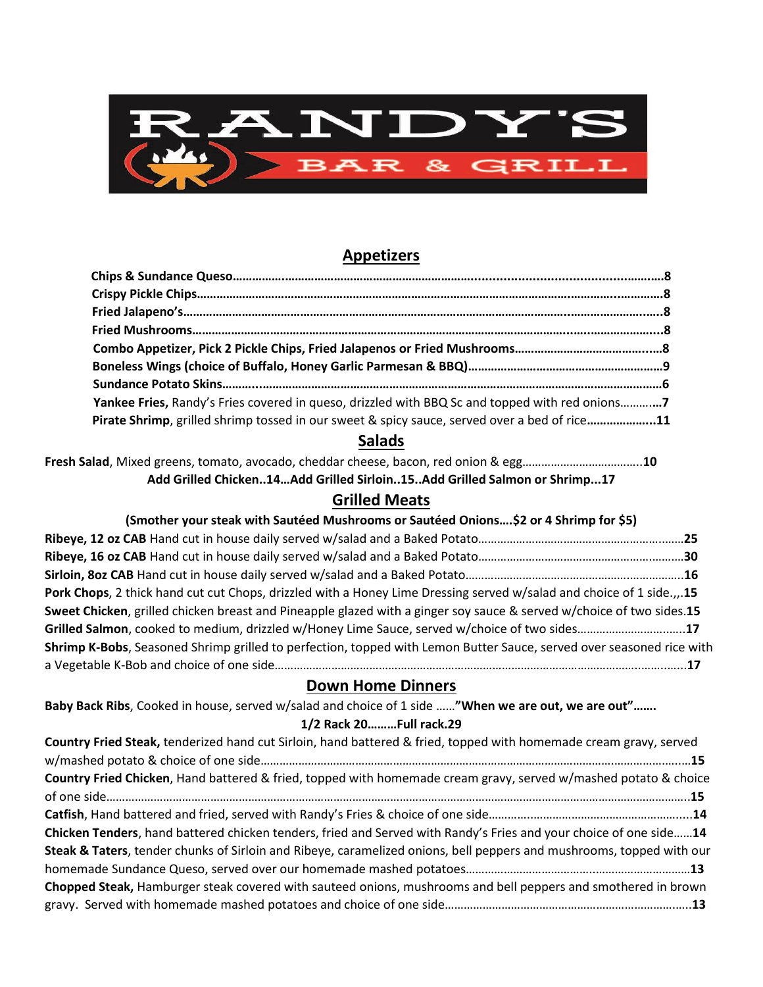

# **Appetizers**

| Yankee Fries, Randy's Fries covered in queso, drizzled with BBQ Sc and topped with red onions7 |  |
|------------------------------------------------------------------------------------------------|--|
| Pirate Shrimp, grilled shrimp tossed in our sweet & spicy sauce, served over a bed of rice11   |  |

## **Salads**

**Fresh Salad**, Mixed greens, tomato, avocado, cheddar cheese, bacon, red onion & egg………………………………..**10 Add Grilled Chicken..14…Add Grilled Sirloin..15..Add Grilled Salmon or Shrimp...17**

## **Grilled Meats**

| (Smother your steak with Sautéed Mushrooms or Sautéed Onions\$2 or 4 Shrimp for \$5)                                 |  |
|----------------------------------------------------------------------------------------------------------------------|--|
|                                                                                                                      |  |
|                                                                                                                      |  |
|                                                                                                                      |  |
| Pork Chops, 2 thick hand cut cut Chops, drizzled with a Honey Lime Dressing served w/salad and choice of 1 side.,15  |  |
| Sweet Chicken, grilled chicken breast and Pineapple glazed with a ginger soy sauce & served w/choice of two sides.15 |  |
| Grilled Salmon, cooked to medium, drizzled w/Honey Lime Sauce, served w/choice of two sides17                        |  |
| Shrimp K-Bobs, Seasoned Shrimp grilled to perfection, topped with Lemon Butter Sauce, served over seasoned rice with |  |
|                                                                                                                      |  |
|                                                                                                                      |  |

## **Down Home Dinners**

|  | Baby Back Ribs, Cooked in house, served w/salad and choice of 1 side "When we are out, we are out" |                         |  |
|--|----------------------------------------------------------------------------------------------------|-------------------------|--|
|  |                                                                                                    | 1/2 Rack 20Full rack.29 |  |

| Country Fried Steak, tenderized hand cut Sirloin, hand battered & fried, topped with homemade cream gravy, served    |
|----------------------------------------------------------------------------------------------------------------------|
|                                                                                                                      |
| Country Fried Chicken, Hand battered & fried, topped with homemade cream gravy, served w/mashed potato & choice      |
|                                                                                                                      |
|                                                                                                                      |
| Chicken Tenders, hand battered chicken tenders, fried and Served with Randy's Fries and your choice of one side14    |
| Steak & Taters, tender chunks of Sirloin and Ribeye, caramelized onions, bell peppers and mushrooms, topped with our |
|                                                                                                                      |
| Chopped Steak, Hamburger steak covered with sauteed onions, mushrooms and bell peppers and smothered in brown        |
|                                                                                                                      |